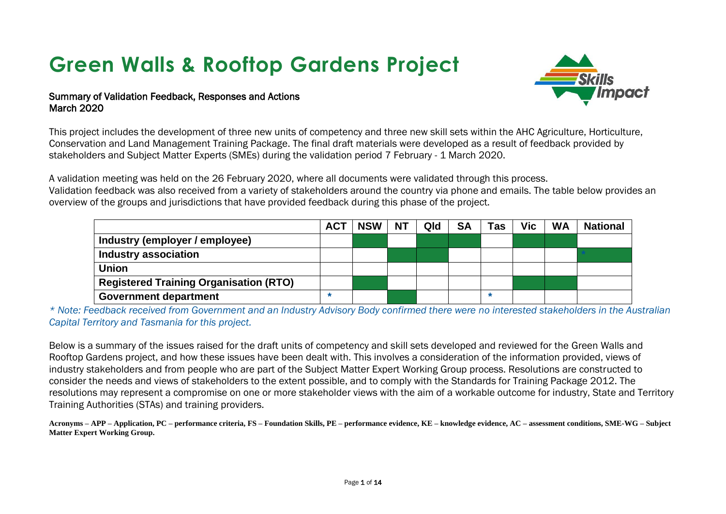# **Green Walls & Rooftop Gardens Project**



#### Summary of Validation Feedback, Responses and Actions March 2020

This project includes the development of three new units of competency and three new skill sets within the AHC Agriculture, Horticulture, Conservation and Land Management Training Package. The final draft materials were developed as a result of feedback provided by stakeholders and Subject Matter Experts (SMEs) during the validation period 7 February - 1 March 2020.

A validation meeting was held on the 26 February 2020, where all documents were validated through this process. Validation feedback was also received from a variety of stakeholders around the country via phone and emails. The table below provides an overview of the groups and jurisdictions that have provided feedback during this phase of the project.

|                                               | <b>ACT</b> | <b>NSW</b> | <b>NT</b> | Qld | <b>SA</b> | Tas | Vic | <b>WA</b> | <b>National</b> |
|-----------------------------------------------|------------|------------|-----------|-----|-----------|-----|-----|-----------|-----------------|
| Industry (employer / employee)                |            |            |           |     |           |     |     |           |                 |
| <b>Industry association</b>                   |            |            |           |     |           |     |     |           |                 |
| <b>Union</b>                                  |            |            |           |     |           |     |     |           |                 |
| <b>Registered Training Organisation (RTO)</b> |            |            |           |     |           |     |     |           |                 |
| <b>Government department</b>                  |            |            |           |     |           |     |     |           |                 |

*\* Note: Feedback received from Government and an Industry Advisory Body confirmed there were no interested stakeholders in the Australian Capital Territory and Tasmania for this project.*

Below is a summary of the issues raised for the draft units of competency and skill sets developed and reviewed for the Green Walls and Rooftop Gardens project, and how these issues have been dealt with. This involves a consideration of the information provided, views of industry stakeholders and from people who are part of the Subject Matter Expert Working Group process. Resolutions are constructed to consider the needs and views of stakeholders to the extent possible, and to comply with the Standards for Training Package 2012. The resolutions may represent a compromise on one or more stakeholder views with the aim of a workable outcome for industry, State and Territory Training Authorities (STAs) and training providers.

Acronyms – APP – Application, PC – performance criteria, FS – Foundation Skills, PE – performance evidence, KE – knowledge evidence, AC – assessment conditions, SME-WG – Subject **Matter Expert Working Group.**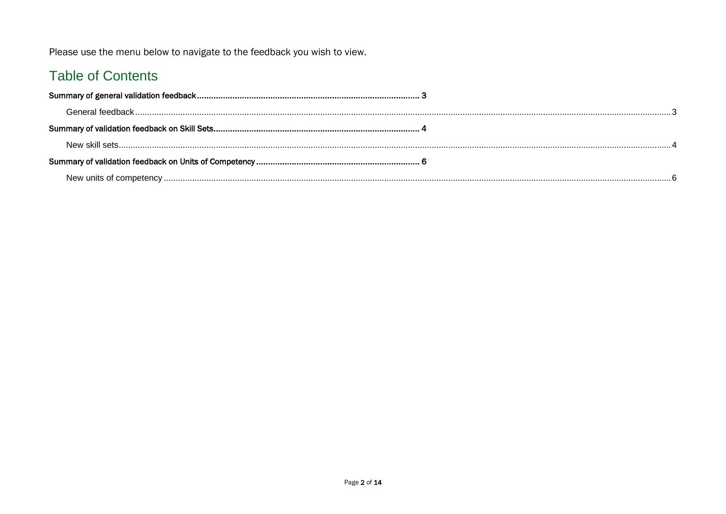Please use the menu below to navigate to the feedback you wish to view.

## **Table of Contents**

<span id="page-1-0"></span>

| General feedback. |  |
|-------------------|--|
|                   |  |
| New skill sets    |  |
|                   |  |
|                   |  |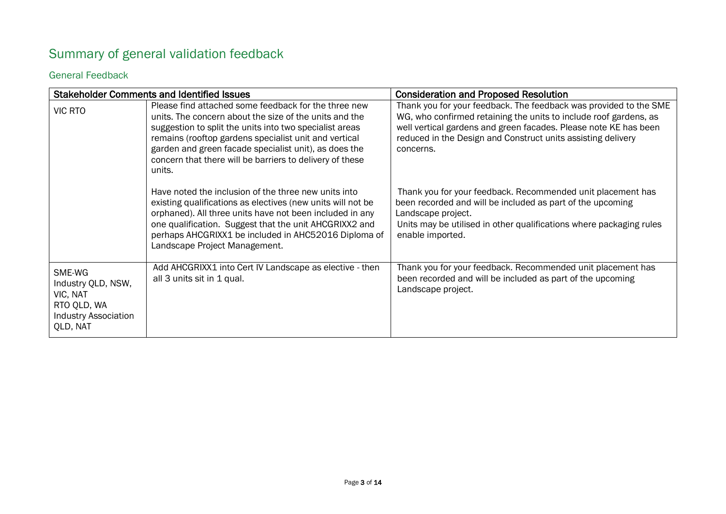## <span id="page-2-0"></span>Summary of general validation feedback

#### General Feedback

|                                                                                                    | <b>Stakeholder Comments and Identified Issues</b>                                                                                                                                                                                                                                                                                                                 | <b>Consideration and Proposed Resolution</b>                                                                                                                                                                                                                                            |
|----------------------------------------------------------------------------------------------------|-------------------------------------------------------------------------------------------------------------------------------------------------------------------------------------------------------------------------------------------------------------------------------------------------------------------------------------------------------------------|-----------------------------------------------------------------------------------------------------------------------------------------------------------------------------------------------------------------------------------------------------------------------------------------|
| <b>VIC RTO</b>                                                                                     | Please find attached some feedback for the three new<br>units. The concern about the size of the units and the<br>suggestion to split the units into two specialist areas<br>remains (rooftop gardens specialist unit and vertical<br>garden and green facade specialist unit), as does the<br>concern that there will be barriers to delivery of these<br>units. | Thank you for your feedback. The feedback was provided to the SME<br>WG, who confirmed retaining the units to include roof gardens, as<br>well vertical gardens and green facades. Please note KE has been<br>reduced in the Design and Construct units assisting delivery<br>concerns. |
|                                                                                                    | Have noted the inclusion of the three new units into<br>existing qualifications as electives (new units will not be<br>orphaned). All three units have not been included in any<br>one qualification. Suggest that the unit AHCGRIXX2 and<br>perhaps AHCGRIXX1 be included in AHC52016 Diploma of<br>Landscape Project Management.                                | Thank you for your feedback. Recommended unit placement has<br>been recorded and will be included as part of the upcoming<br>Landscape project.<br>Units may be utilised in other qualifications where packaging rules<br>enable imported.                                              |
| SME-WG<br>Industry QLD, NSW,<br>VIC, NAT<br>RTO QLD, WA<br><b>Industry Association</b><br>QLD, NAT | Add AHCGRIXX1 into Cert IV Landscape as elective - then<br>all 3 units sit in 1 qual.                                                                                                                                                                                                                                                                             | Thank you for your feedback. Recommended unit placement has<br>been recorded and will be included as part of the upcoming<br>Landscape project.                                                                                                                                         |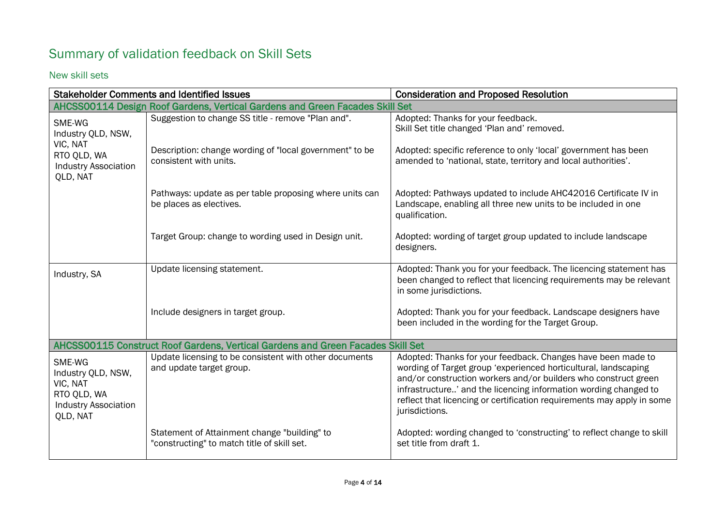## Summary of validation feedback on Skill Sets

<span id="page-3-0"></span>New skill sets

|                                                                                                    | <b>Stakeholder Comments and Identified Issues</b>                                           | <b>Consideration and Proposed Resolution</b>                                                                                                                                                                                                                                                                                                                       |
|----------------------------------------------------------------------------------------------------|---------------------------------------------------------------------------------------------|--------------------------------------------------------------------------------------------------------------------------------------------------------------------------------------------------------------------------------------------------------------------------------------------------------------------------------------------------------------------|
|                                                                                                    | AHCSS00114 Design Roof Gardens, Vertical Gardens and Green Facades Skill Set                |                                                                                                                                                                                                                                                                                                                                                                    |
| SME-WG<br>Industry QLD, NSW,                                                                       | Suggestion to change SS title - remove "Plan and".                                          | Adopted: Thanks for your feedback.<br>Skill Set title changed 'Plan and' removed.                                                                                                                                                                                                                                                                                  |
| VIC, NAT<br>RTO QLD, WA<br><b>Industry Association</b><br>QLD, NAT                                 | Description: change wording of "local government" to be<br>consistent with units.           | Adopted: specific reference to only 'local' government has been<br>amended to 'national, state, territory and local authorities'.                                                                                                                                                                                                                                  |
|                                                                                                    | Pathways: update as per table proposing where units can<br>be places as electives.          | Adopted: Pathways updated to include AHC42016 Certificate IV in<br>Landscape, enabling all three new units to be included in one<br>qualification.                                                                                                                                                                                                                 |
|                                                                                                    | Target Group: change to wording used in Design unit.                                        | Adopted: wording of target group updated to include landscape<br>designers.                                                                                                                                                                                                                                                                                        |
| Industry, SA                                                                                       | Update licensing statement.                                                                 | Adopted: Thank you for your feedback. The licencing statement has<br>been changed to reflect that licencing requirements may be relevant<br>in some jurisdictions.                                                                                                                                                                                                 |
|                                                                                                    | Include designers in target group.                                                          | Adopted: Thank you for your feedback. Landscape designers have<br>been included in the wording for the Target Group.                                                                                                                                                                                                                                               |
|                                                                                                    | AHCSS00115 Construct Roof Gardens, Vertical Gardens and Green Facades Skill Set             |                                                                                                                                                                                                                                                                                                                                                                    |
| SME-WG<br>Industry QLD, NSW,<br>VIC, NAT<br>RTO QLD, WA<br><b>Industry Association</b><br>QLD, NAT | Update licensing to be consistent with other documents<br>and update target group.          | Adopted: Thanks for your feedback. Changes have been made to<br>wording of Target group 'experienced horticultural, landscaping<br>and/or construction workers and/or builders who construct green<br>infrastructure' and the licencing information wording changed to<br>reflect that licencing or certification requirements may apply in some<br>jurisdictions. |
|                                                                                                    | Statement of Attainment change "building" to<br>"constructing" to match title of skill set. | Adopted: wording changed to 'constructing' to reflect change to skill<br>set title from draft 1.                                                                                                                                                                                                                                                                   |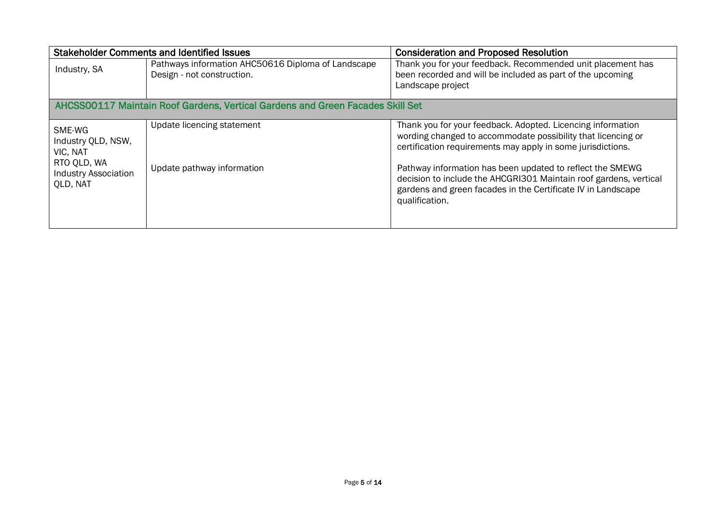<span id="page-4-0"></span>

|                                                               | <b>Stakeholder Comments and Identified Issues</b>                                | <b>Consideration and Proposed Resolution</b>                                                                                                                                                                     |
|---------------------------------------------------------------|----------------------------------------------------------------------------------|------------------------------------------------------------------------------------------------------------------------------------------------------------------------------------------------------------------|
| Industry, SA                                                  | Pathways information AHC50616 Diploma of Landscape<br>Design - not construction. | Thank you for your feedback. Recommended unit placement has<br>been recorded and will be included as part of the upcoming<br>Landscape project                                                                   |
|                                                               | AHCSS00117 Maintain Roof Gardens, Vertical Gardens and Green Facades Skill Set   |                                                                                                                                                                                                                  |
| SME-WG<br>Industry QLD, NSW,<br>VIC, NAT                      | Update licencing statement                                                       | Thank you for your feedback. Adopted. Licencing information<br>wording changed to accommodate possibility that licencing or<br>certification requirements may apply in some jurisdictions.                       |
| RTO QLD, WA<br><b>Industry Association</b><br><b>QLD, NAT</b> | Update pathway information                                                       | Pathway information has been updated to reflect the SMEWG<br>decision to include the AHCGRI301 Maintain roof gardens, vertical<br>gardens and green facades in the Certificate IV in Landscape<br>qualification. |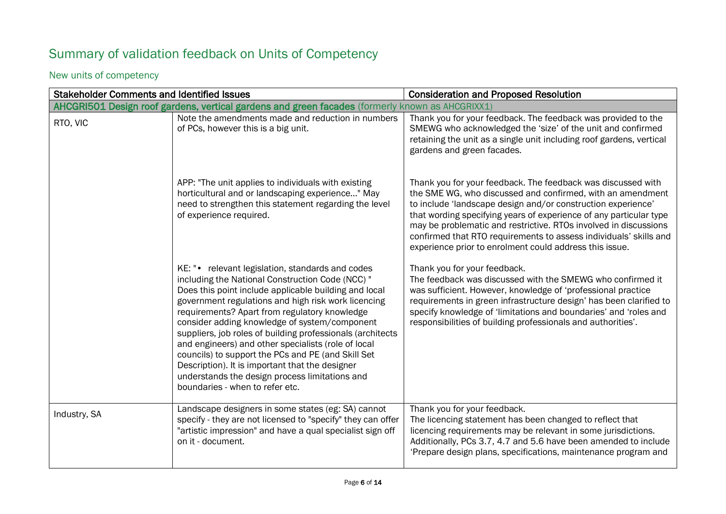## Summary of validation feedback on Units of Competency

### New units of competency

| <b>Stakeholder Comments and Identified Issues</b> |                                                                                                                                                                                                                                                                                                                                                                                                                                                                                                                                                                                                                                           | <b>Consideration and Proposed Resolution</b>                                                                                                                                                                                                                                                                                                                                                                                                                         |
|---------------------------------------------------|-------------------------------------------------------------------------------------------------------------------------------------------------------------------------------------------------------------------------------------------------------------------------------------------------------------------------------------------------------------------------------------------------------------------------------------------------------------------------------------------------------------------------------------------------------------------------------------------------------------------------------------------|----------------------------------------------------------------------------------------------------------------------------------------------------------------------------------------------------------------------------------------------------------------------------------------------------------------------------------------------------------------------------------------------------------------------------------------------------------------------|
|                                                   | AHCGRI501 Design roof gardens, vertical gardens and green facades (formerly known as AHCGRIXX1)                                                                                                                                                                                                                                                                                                                                                                                                                                                                                                                                           |                                                                                                                                                                                                                                                                                                                                                                                                                                                                      |
| RTO, VIC                                          | Note the amendments made and reduction in numbers<br>of PCs, however this is a big unit.                                                                                                                                                                                                                                                                                                                                                                                                                                                                                                                                                  | Thank you for your feedback. The feedback was provided to the<br>SMEWG who acknowledged the 'size' of the unit and confirmed<br>retaining the unit as a single unit including roof gardens, vertical<br>gardens and green facades.                                                                                                                                                                                                                                   |
|                                                   | APP: "The unit applies to individuals with existing<br>horticultural and or landscaping experience" May<br>need to strengthen this statement regarding the level<br>of experience required.                                                                                                                                                                                                                                                                                                                                                                                                                                               | Thank you for your feedback. The feedback was discussed with<br>the SME WG, who discussed and confirmed, with an amendment<br>to include 'landscape design and/or construction experience'<br>that wording specifying years of experience of any particular type<br>may be problematic and restrictive. RTOs involved in discussions<br>confirmed that RTO requirements to assess individuals' skills and<br>experience prior to enrolment could address this issue. |
|                                                   | KE: "• relevant legislation, standards and codes<br>including the National Construction Code (NCC) "<br>Does this point include applicable building and local<br>government regulations and high risk work licencing<br>requirements? Apart from regulatory knowledge<br>consider adding knowledge of system/component<br>suppliers, job roles of building professionals (architects<br>and engineers) and other specialists (role of local<br>councils) to support the PCs and PE (and Skill Set<br>Description). It is important that the designer<br>understands the design process limitations and<br>boundaries - when to refer etc. | Thank you for your feedback.<br>The feedback was discussed with the SMEWG who confirmed it<br>was sufficient. However, knowledge of 'professional practice<br>requirements in green infrastructure design' has been clarified to<br>specify knowledge of 'limitations and boundaries' and 'roles and<br>responsibilities of building professionals and authorities'.                                                                                                 |
| Industry, SA                                      | Landscape designers in some states (eg: SA) cannot<br>specify - they are not licensed to "specify" they can offer<br>"artistic impression" and have a qual specialist sign off<br>on it - document.                                                                                                                                                                                                                                                                                                                                                                                                                                       | Thank you for your feedback.<br>The licencing statement has been changed to reflect that<br>licencing requirements may be relevant in some jurisdictions.<br>Additionally, PCs 3.7, 4.7 and 5.6 have been amended to include<br>'Prepare design plans, specifications, maintenance program and                                                                                                                                                                       |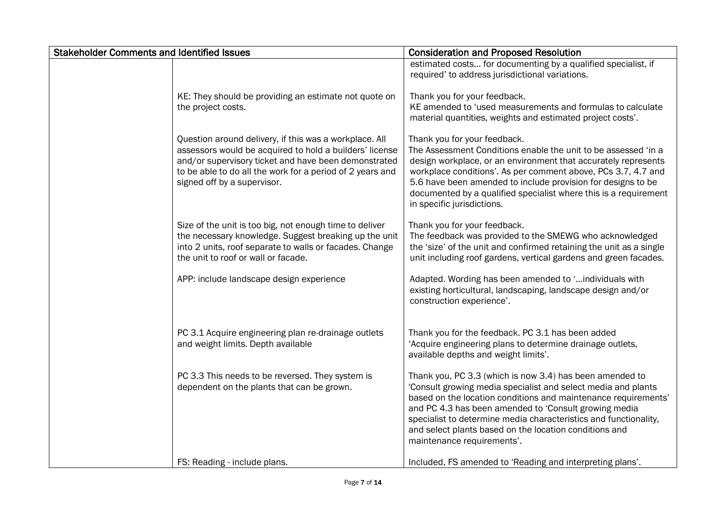| <b>Stakeholder Comments and Identified Issues</b> |                                                                                                                                                                                                                                                                       | <b>Consideration and Proposed Resolution</b>                                                                                                                                                                                                                                                                                                                                                                     |
|---------------------------------------------------|-----------------------------------------------------------------------------------------------------------------------------------------------------------------------------------------------------------------------------------------------------------------------|------------------------------------------------------------------------------------------------------------------------------------------------------------------------------------------------------------------------------------------------------------------------------------------------------------------------------------------------------------------------------------------------------------------|
|                                                   |                                                                                                                                                                                                                                                                       | estimated costs for documenting by a qualified specialist, if<br>required' to address jurisdictional variations.                                                                                                                                                                                                                                                                                                 |
|                                                   | KE: They should be providing an estimate not quote on<br>the project costs.                                                                                                                                                                                           | Thank you for your feedback.<br>KE amended to 'used measurements and formulas to calculate<br>material quantities, weights and estimated project costs'.                                                                                                                                                                                                                                                         |
|                                                   | Question around delivery, if this was a workplace. All<br>assessors would be acquired to hold a builders' license<br>and/or supervisory ticket and have been demonstrated<br>to be able to do all the work for a period of 2 years and<br>signed off by a supervisor. | Thank you for your feedback.<br>The Assessment Conditions enable the unit to be assessed 'in a<br>design workplace, or an environment that accurately represents<br>workplace conditions'. As per comment above, PCs 3.7, 4.7 and<br>5.6 have been amended to include provision for designs to be<br>documented by a qualified specialist where this is a requirement<br>in specific jurisdictions.              |
|                                                   | Size of the unit is too big, not enough time to deliver<br>the necessary knowledge. Suggest breaking up the unit<br>into 2 units, roof separate to walls or facades. Change<br>the unit to roof or wall or facade.                                                    | Thank you for your feedback.<br>The feedback was provided to the SMEWG who acknowledged<br>the 'size' of the unit and confirmed retaining the unit as a single<br>unit including roof gardens, vertical gardens and green facades.                                                                                                                                                                               |
|                                                   | APP: include landscape design experience                                                                                                                                                                                                                              | Adapted. Wording has been amended to 'individuals with<br>existing horticultural, landscaping, landscape design and/or<br>construction experience'.                                                                                                                                                                                                                                                              |
|                                                   | PC 3.1 Acquire engineering plan re-drainage outlets<br>and weight limits. Depth available                                                                                                                                                                             | Thank you for the feedback. PC 3.1 has been added<br>'Acquire engineering plans to determine drainage outlets,<br>available depths and weight limits'.                                                                                                                                                                                                                                                           |
|                                                   | PC 3.3 This needs to be reversed. They system is<br>dependent on the plants that can be grown.                                                                                                                                                                        | Thank you, PC 3.3 (which is now 3.4) has been amended to<br>'Consult growing media specialist and select media and plants<br>based on the location conditions and maintenance requirements'<br>and PC 4.3 has been amended to 'Consult growing media<br>specialist to determine media characteristics and functionality,<br>and select plants based on the location conditions and<br>maintenance requirements'. |
|                                                   | FS: Reading - include plans.                                                                                                                                                                                                                                          | Included, FS amended to 'Reading and interpreting plans'.                                                                                                                                                                                                                                                                                                                                                        |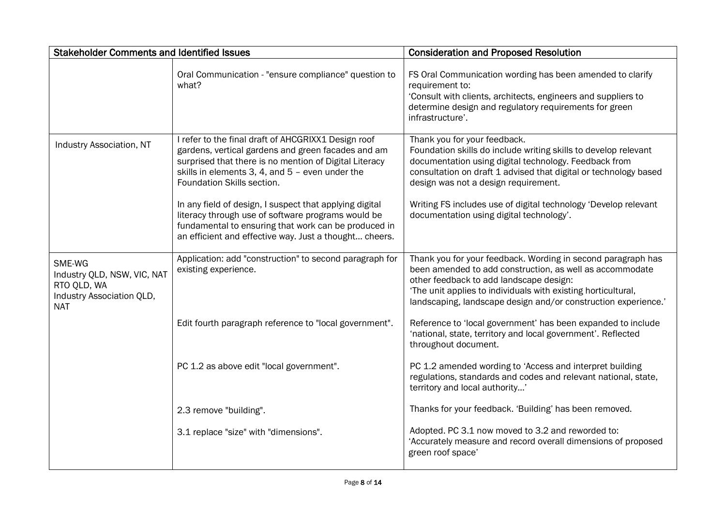| <b>Stakeholder Comments and Identified Issues</b>                                               |                                                                                                                                                                                                                                                                                                                                                                                                                                                                                         | <b>Consideration and Proposed Resolution</b>                                                                                                                                                                                                                                                                                                                                        |
|-------------------------------------------------------------------------------------------------|-----------------------------------------------------------------------------------------------------------------------------------------------------------------------------------------------------------------------------------------------------------------------------------------------------------------------------------------------------------------------------------------------------------------------------------------------------------------------------------------|-------------------------------------------------------------------------------------------------------------------------------------------------------------------------------------------------------------------------------------------------------------------------------------------------------------------------------------------------------------------------------------|
|                                                                                                 | Oral Communication - "ensure compliance" question to<br>what?                                                                                                                                                                                                                                                                                                                                                                                                                           | FS Oral Communication wording has been amended to clarify<br>requirement to:<br>'Consult with clients, architects, engineers and suppliers to<br>determine design and regulatory requirements for green<br>infrastructure'.                                                                                                                                                         |
| <b>Industry Association, NT</b>                                                                 | I refer to the final draft of AHCGRIXX1 Design roof<br>gardens, vertical gardens and green facades and am<br>surprised that there is no mention of Digital Literacy<br>skills in elements 3, 4, and 5 - even under the<br>Foundation Skills section.<br>In any field of design, I suspect that applying digital<br>literacy through use of software programs would be<br>fundamental to ensuring that work can be produced in<br>an efficient and effective way. Just a thought cheers. | Thank you for your feedback.<br>Foundation skills do include writing skills to develop relevant<br>documentation using digital technology. Feedback from<br>consultation on draft 1 advised that digital or technology based<br>design was not a design requirement.<br>Writing FS includes use of digital technology 'Develop relevant<br>documentation using digital technology'. |
| SME-WG<br>Industry QLD, NSW, VIC, NAT<br>RTO QLD, WA<br>Industry Association QLD,<br><b>NAT</b> | Application: add "construction" to second paragraph for<br>existing experience.                                                                                                                                                                                                                                                                                                                                                                                                         | Thank you for your feedback. Wording in second paragraph has<br>been amended to add construction, as well as accommodate<br>other feedback to add landscape design:<br>'The unit applies to individuals with existing horticultural,<br>landscaping, landscape design and/or construction experience.'                                                                              |
|                                                                                                 | Edit fourth paragraph reference to "local government".                                                                                                                                                                                                                                                                                                                                                                                                                                  | Reference to 'local government' has been expanded to include<br>'national, state, territory and local government'. Reflected<br>throughout document.                                                                                                                                                                                                                                |
|                                                                                                 | PC 1.2 as above edit "local government".                                                                                                                                                                                                                                                                                                                                                                                                                                                | PC 1.2 amended wording to 'Access and interpret building<br>regulations, standards and codes and relevant national, state,<br>territory and local authority'                                                                                                                                                                                                                        |
|                                                                                                 | 2.3 remove "building".                                                                                                                                                                                                                                                                                                                                                                                                                                                                  | Thanks for your feedback. 'Building' has been removed.                                                                                                                                                                                                                                                                                                                              |
|                                                                                                 | 3.1 replace "size" with "dimensions".                                                                                                                                                                                                                                                                                                                                                                                                                                                   | Adopted. PC 3.1 now moved to 3.2 and reworded to:<br>'Accurately measure and record overall dimensions of proposed<br>green roof space'                                                                                                                                                                                                                                             |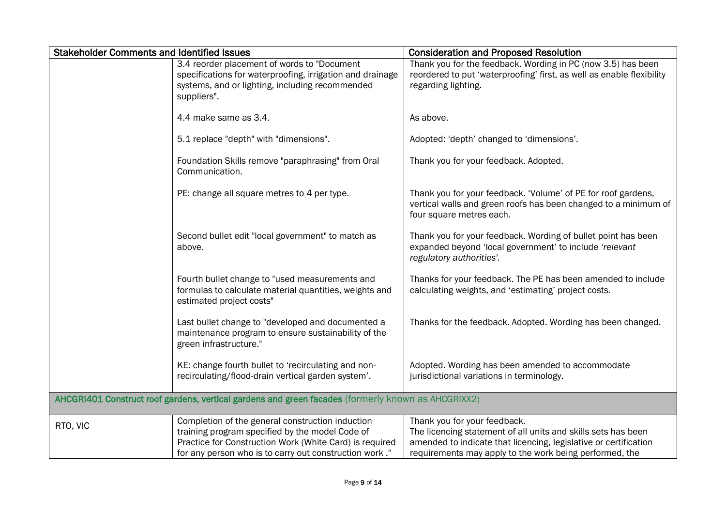| <b>Stakeholder Comments and Identified Issues</b> |                                                                                                                                                                                                                          | <b>Consideration and Proposed Resolution</b>                                                                                                                                                                                 |
|---------------------------------------------------|--------------------------------------------------------------------------------------------------------------------------------------------------------------------------------------------------------------------------|------------------------------------------------------------------------------------------------------------------------------------------------------------------------------------------------------------------------------|
|                                                   | 3.4 reorder placement of words to "Document<br>specifications for waterproofing, irrigation and drainage<br>systems, and or lighting, including recommended<br>suppliers".                                               | Thank you for the feedback. Wording in PC (now 3.5) has been<br>reordered to put 'waterproofing' first, as well as enable flexibility<br>regarding lighting.                                                                 |
|                                                   | 4.4 make same as 3.4.                                                                                                                                                                                                    | As above.                                                                                                                                                                                                                    |
|                                                   | 5.1 replace "depth" with "dimensions".                                                                                                                                                                                   | Adopted: 'depth' changed to 'dimensions'.                                                                                                                                                                                    |
|                                                   | Foundation Skills remove "paraphrasing" from Oral<br>Communication.                                                                                                                                                      | Thank you for your feedback. Adopted.                                                                                                                                                                                        |
|                                                   | PE: change all square metres to 4 per type.                                                                                                                                                                              | Thank you for your feedback. 'Volume' of PE for roof gardens,<br>vertical walls and green roofs has been changed to a minimum of<br>four square metres each.                                                                 |
|                                                   | Second bullet edit "local government" to match as<br>above.                                                                                                                                                              | Thank you for your feedback. Wording of bullet point has been<br>expanded beyond 'local government' to include 'relevant<br>regulatory authorities'.                                                                         |
|                                                   | Fourth bullet change to "used measurements and<br>formulas to calculate material quantities, weights and<br>estimated project costs"                                                                                     | Thanks for your feedback. The PE has been amended to include<br>calculating weights, and 'estimating' project costs.                                                                                                         |
|                                                   | Last bullet change to "developed and documented a<br>maintenance program to ensure sustainability of the<br>green infrastructure."                                                                                       | Thanks for the feedback. Adopted. Wording has been changed.                                                                                                                                                                  |
|                                                   | KE: change fourth bullet to 'recirculating and non-<br>recirculating/flood-drain vertical garden system'.                                                                                                                | Adopted. Wording has been amended to accommodate<br>jurisdictional variations in terminology.                                                                                                                                |
|                                                   | AHCGRI401 Construct roof gardens, vertical gardens and green facades (formerly known as AHCGRIXX2)                                                                                                                       |                                                                                                                                                                                                                              |
| RTO, VIC                                          | Completion of the general construction induction<br>training program specified by the model Code of<br>Practice for Construction Work (White Card) is required<br>for any person who is to carry out construction work." | Thank you for your feedback.<br>The licencing statement of all units and skills sets has been<br>amended to indicate that licencing, legislative or certification<br>requirements may apply to the work being performed, the |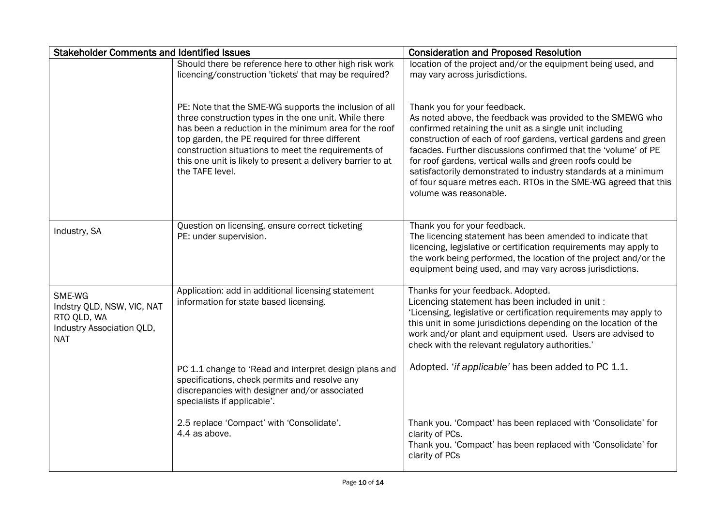| <b>Stakeholder Comments and Identified Issues</b>                                              |                                                                                                                                                                                                                                                                                                                                                                      | <b>Consideration and Proposed Resolution</b>                                                                                                                                                                                                                                                                                                                                                                                                                                                                            |
|------------------------------------------------------------------------------------------------|----------------------------------------------------------------------------------------------------------------------------------------------------------------------------------------------------------------------------------------------------------------------------------------------------------------------------------------------------------------------|-------------------------------------------------------------------------------------------------------------------------------------------------------------------------------------------------------------------------------------------------------------------------------------------------------------------------------------------------------------------------------------------------------------------------------------------------------------------------------------------------------------------------|
|                                                                                                | Should there be reference here to other high risk work<br>licencing/construction 'tickets' that may be required?                                                                                                                                                                                                                                                     | location of the project and/or the equipment being used, and<br>may vary across jurisdictions.                                                                                                                                                                                                                                                                                                                                                                                                                          |
|                                                                                                | PE: Note that the SME-WG supports the inclusion of all<br>three construction types in the one unit. While there<br>has been a reduction in the minimum area for the roof<br>top garden, the PE required for three different<br>construction situations to meet the requirements of<br>this one unit is likely to present a delivery barrier to at<br>the TAFE level. | Thank you for your feedback.<br>As noted above, the feedback was provided to the SMEWG who<br>confirmed retaining the unit as a single unit including<br>construction of each of roof gardens, vertical gardens and green<br>facades. Further discussions confirmed that the 'volume' of PE<br>for roof gardens, vertical walls and green roofs could be<br>satisfactorily demonstrated to industry standards at a minimum<br>of four square metres each. RTOs in the SME-WG agreed that this<br>volume was reasonable. |
| Industry, SA                                                                                   | Question on licensing, ensure correct ticketing<br>PE: under supervision.                                                                                                                                                                                                                                                                                            | Thank you for your feedback.<br>The licencing statement has been amended to indicate that<br>licencing, legislative or certification requirements may apply to<br>the work being performed, the location of the project and/or the<br>equipment being used, and may vary across jurisdictions.                                                                                                                                                                                                                          |
| SME-WG<br>Indstry QLD, NSW, VIC, NAT<br>RTO QLD, WA<br>Industry Association QLD,<br><b>NAT</b> | Application: add in additional licensing statement<br>information for state based licensing.                                                                                                                                                                                                                                                                         | Thanks for your feedback. Adopted.<br>Licencing statement has been included in unit :<br>'Licensing, legislative or certification requirements may apply to<br>this unit in some jurisdictions depending on the location of the<br>work and/or plant and equipment used. Users are advised to<br>check with the relevant regulatory authorities.'                                                                                                                                                                       |
|                                                                                                | PC 1.1 change to 'Read and interpret design plans and<br>specifications, check permits and resolve any<br>discrepancies with designer and/or associated<br>specialists if applicable'.                                                                                                                                                                               | Adopted. 'if applicable' has been added to PC 1.1.                                                                                                                                                                                                                                                                                                                                                                                                                                                                      |
|                                                                                                | 2.5 replace 'Compact' with 'Consolidate'.<br>4.4 as above.                                                                                                                                                                                                                                                                                                           | Thank you. 'Compact' has been replaced with 'Consolidate' for<br>clarity of PCs.<br>Thank you. 'Compact' has been replaced with 'Consolidate' for<br>clarity of PCs                                                                                                                                                                                                                                                                                                                                                     |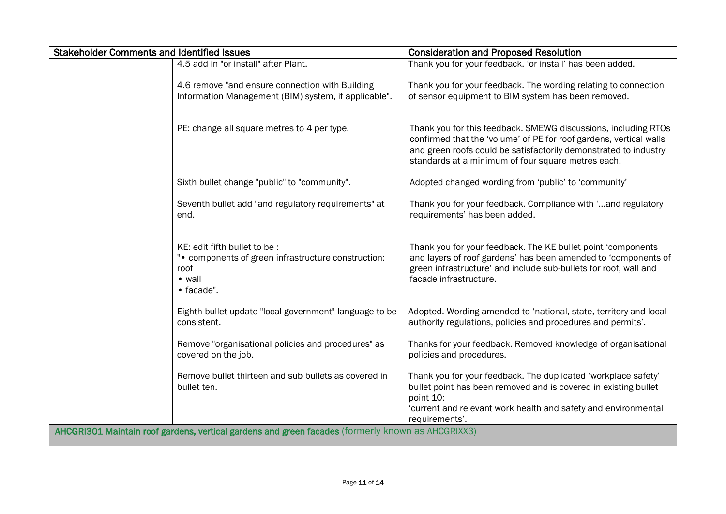| <b>Stakeholder Comments and Identified Issues</b> |                                                                                                                      | <b>Consideration and Proposed Resolution</b>                                                                                                                                                                                                                   |
|---------------------------------------------------|----------------------------------------------------------------------------------------------------------------------|----------------------------------------------------------------------------------------------------------------------------------------------------------------------------------------------------------------------------------------------------------------|
|                                                   | 4.5 add in "or install" after Plant.                                                                                 | Thank you for your feedback. 'or install' has been added.                                                                                                                                                                                                      |
|                                                   | 4.6 remove "and ensure connection with Building<br>Information Management (BIM) system, if applicable".              | Thank you for your feedback. The wording relating to connection<br>of sensor equipment to BIM system has been removed.                                                                                                                                         |
|                                                   | PE: change all square metres to 4 per type.                                                                          | Thank you for this feedback. SMEWG discussions, including RTOs<br>confirmed that the 'volume' of PE for roof gardens, vertical walls<br>and green roofs could be satisfactorily demonstrated to industry<br>standards at a minimum of four square metres each. |
|                                                   | Sixth bullet change "public" to "community".                                                                         | Adopted changed wording from 'public' to 'community'                                                                                                                                                                                                           |
|                                                   | Seventh bullet add "and regulatory requirements" at<br>end.                                                          | Thank you for your feedback. Compliance with ' and regulatory<br>requirements' has been added.                                                                                                                                                                 |
|                                                   | KE: edit fifth bullet to be :<br>". components of green infrastructure construction:<br>roof<br>• wall<br>• facade". | Thank you for your feedback. The KE bullet point 'components'<br>and layers of roof gardens' has been amended to 'components of<br>green infrastructure' and include sub-bullets for roof, wall and<br>facade infrastructure.                                  |
|                                                   | Eighth bullet update "local government" language to be<br>consistent.                                                | Adopted. Wording amended to 'national, state, territory and local<br>authority regulations, policies and procedures and permits'.                                                                                                                              |
|                                                   | Remove "organisational policies and procedures" as<br>covered on the job.                                            | Thanks for your feedback. Removed knowledge of organisational<br>policies and procedures.                                                                                                                                                                      |
|                                                   | Remove bullet thirteen and sub bullets as covered in<br>bullet ten.                                                  | Thank you for your feedback. The duplicated 'workplace safety'<br>bullet point has been removed and is covered in existing bullet<br>point 10:<br>'current and relevant work health and safety and environmental<br>requirements'.                             |
|                                                   | AHCGRI301 Maintain roof gardens, vertical gardens and green facades (formerly known as AHCGRIXX3)                    |                                                                                                                                                                                                                                                                |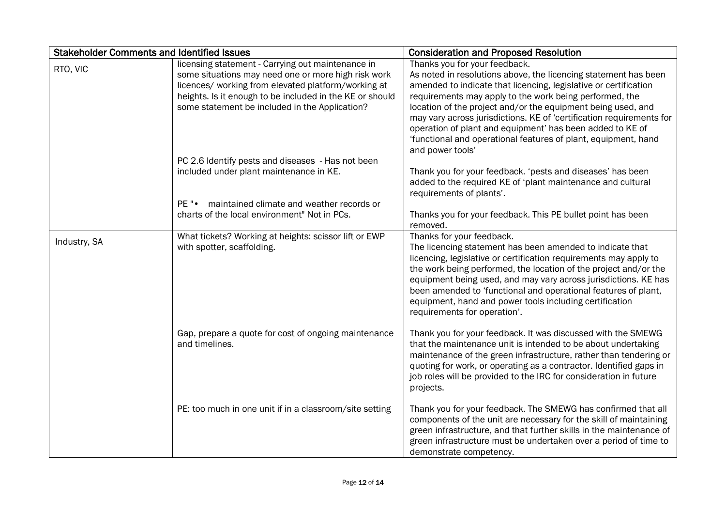| <b>Stakeholder Comments and Identified Issues</b> |                                                                                                                                                                                                                                                                                                                                    | <b>Consideration and Proposed Resolution</b>                                                                                                                                                                                                                                                                                                                                                                                                                                                                               |
|---------------------------------------------------|------------------------------------------------------------------------------------------------------------------------------------------------------------------------------------------------------------------------------------------------------------------------------------------------------------------------------------|----------------------------------------------------------------------------------------------------------------------------------------------------------------------------------------------------------------------------------------------------------------------------------------------------------------------------------------------------------------------------------------------------------------------------------------------------------------------------------------------------------------------------|
| RTO, VIC                                          | licensing statement - Carrying out maintenance in<br>some situations may need one or more high risk work<br>licences/ working from elevated platform/working at<br>heights. Is it enough to be included in the KE or should<br>some statement be included in the Application?<br>PC 2.6 Identify pests and diseases - Has not been | Thanks you for your feedback.<br>As noted in resolutions above, the licencing statement has been<br>amended to indicate that licencing, legislative or certification<br>requirements may apply to the work being performed, the<br>location of the project and/or the equipment being used, and<br>may vary across jurisdictions. KE of 'certification requirements for<br>operation of plant and equipment' has been added to KE of<br>'functional and operational features of plant, equipment, hand<br>and power tools' |
|                                                   | included under plant maintenance in KE.                                                                                                                                                                                                                                                                                            | Thank you for your feedback. 'pests and diseases' has been<br>added to the required KE of 'plant maintenance and cultural<br>requirements of plants'.                                                                                                                                                                                                                                                                                                                                                                      |
|                                                   | maintained climate and weather records or<br>$PE$ " $\bullet$<br>charts of the local environment" Not in PCs.                                                                                                                                                                                                                      | Thanks you for your feedback. This PE bullet point has been<br>removed.                                                                                                                                                                                                                                                                                                                                                                                                                                                    |
| Industry, SA                                      | What tickets? Working at heights: scissor lift or EWP<br>with spotter, scaffolding.                                                                                                                                                                                                                                                | Thanks for your feedback.<br>The licencing statement has been amended to indicate that<br>licencing, legislative or certification requirements may apply to<br>the work being performed, the location of the project and/or the<br>equipment being used, and may vary across jurisdictions. KE has<br>been amended to 'functional and operational features of plant,<br>equipment, hand and power tools including certification<br>requirements for operation'.                                                            |
|                                                   | Gap, prepare a quote for cost of ongoing maintenance<br>and timelines.                                                                                                                                                                                                                                                             | Thank you for your feedback. It was discussed with the SMEWG<br>that the maintenance unit is intended to be about undertaking<br>maintenance of the green infrastructure, rather than tendering or<br>quoting for work, or operating as a contractor. Identified gaps in<br>job roles will be provided to the IRC for consideration in future<br>projects.                                                                                                                                                                 |
|                                                   | PE: too much in one unit if in a classroom/site setting                                                                                                                                                                                                                                                                            | Thank you for your feedback. The SMEWG has confirmed that all<br>components of the unit are necessary for the skill of maintaining<br>green infrastructure, and that further skills in the maintenance of<br>green infrastructure must be undertaken over a period of time to<br>demonstrate competency.                                                                                                                                                                                                                   |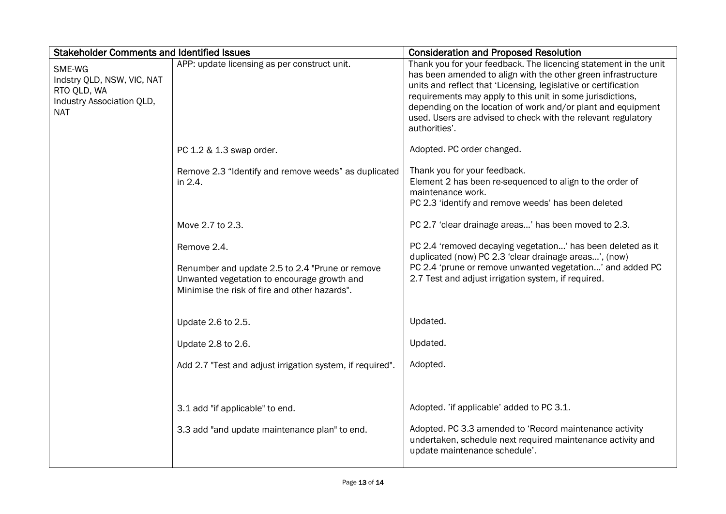| <b>Stakeholder Comments and Identified Issues</b>                                              |                                                                                                                                                                | <b>Consideration and Proposed Resolution</b>                                                                                                                                                                                                                                                                                                                                                                         |
|------------------------------------------------------------------------------------------------|----------------------------------------------------------------------------------------------------------------------------------------------------------------|----------------------------------------------------------------------------------------------------------------------------------------------------------------------------------------------------------------------------------------------------------------------------------------------------------------------------------------------------------------------------------------------------------------------|
| SME-WG<br>Indstry QLD, NSW, VIC, NAT<br>RTO QLD, WA<br>Industry Association QLD,<br><b>NAT</b> | APP: update licensing as per construct unit.                                                                                                                   | Thank you for your feedback. The licencing statement in the unit<br>has been amended to align with the other green infrastructure<br>units and reflect that 'Licensing, legislative or certification<br>requirements may apply to this unit in some jurisdictions,<br>depending on the location of work and/or plant and equipment<br>used. Users are advised to check with the relevant regulatory<br>authorities'. |
|                                                                                                | PC 1.2 & 1.3 swap order.                                                                                                                                       | Adopted. PC order changed.                                                                                                                                                                                                                                                                                                                                                                                           |
|                                                                                                | Remove 2.3 "Identify and remove weeds" as duplicated<br>in 2.4.                                                                                                | Thank you for your feedback.<br>Element 2 has been re-sequenced to align to the order of<br>maintenance work.<br>PC 2.3 'identify and remove weeds' has been deleted                                                                                                                                                                                                                                                 |
|                                                                                                | Move 2.7 to 2.3.                                                                                                                                               | PC 2.7 'clear drainage areas' has been moved to 2.3.                                                                                                                                                                                                                                                                                                                                                                 |
|                                                                                                | Remove 2.4.<br>Renumber and update 2.5 to 2.4 "Prune or remove<br>Unwanted vegetation to encourage growth and<br>Minimise the risk of fire and other hazards". | PC 2.4 'removed decaying vegetation' has been deleted as it<br>duplicated (now) PC 2.3 'clear drainage areas', (now)<br>PC 2.4 'prune or remove unwanted vegetation' and added PC<br>2.7 Test and adjust irrigation system, if required.                                                                                                                                                                             |
|                                                                                                | Update 2.6 to 2.5.                                                                                                                                             | Updated.                                                                                                                                                                                                                                                                                                                                                                                                             |
|                                                                                                | Update 2.8 to 2.6.                                                                                                                                             | Updated.                                                                                                                                                                                                                                                                                                                                                                                                             |
|                                                                                                | Add 2.7 "Test and adjust irrigation system, if required".                                                                                                      | Adopted.                                                                                                                                                                                                                                                                                                                                                                                                             |
|                                                                                                | 3.1 add "if applicable" to end.                                                                                                                                | Adopted. 'if applicable' added to PC 3.1.                                                                                                                                                                                                                                                                                                                                                                            |
|                                                                                                | 3.3 add "and update maintenance plan" to end.                                                                                                                  | Adopted. PC 3.3 amended to 'Record maintenance activity<br>undertaken, schedule next required maintenance activity and<br>update maintenance schedule'.                                                                                                                                                                                                                                                              |